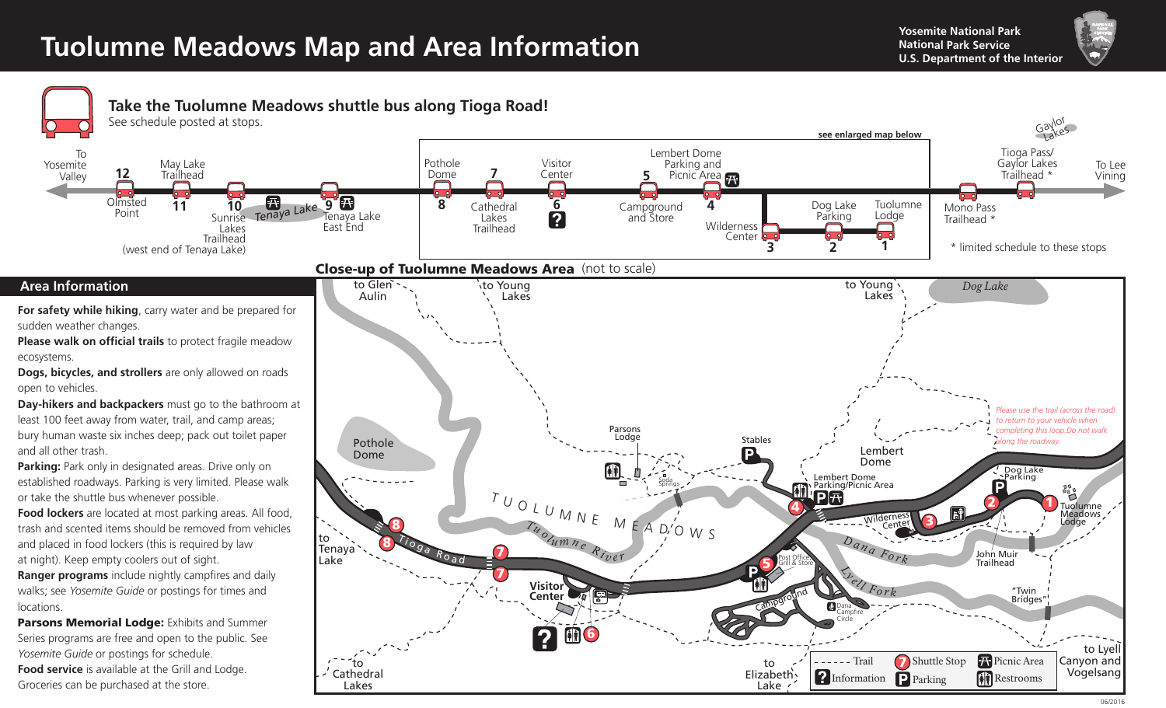## **Tuolumne Meadows Map and Area Information**<br>U.S. Department of the Interior

**Yosemite National Park** 



To Lee Vining